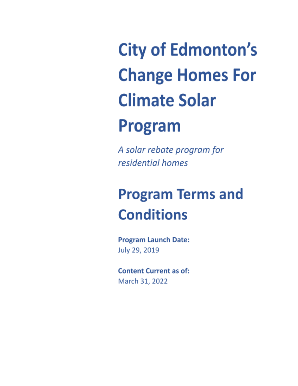**City of Edmonton's Change Homes For Climate Solar** 

# Program

A solar rebate program for residential homes

# **Program Terms and Conditions**

**Program Launch Date:** July 29, 2019

**Content Current as of:** March 31, 2022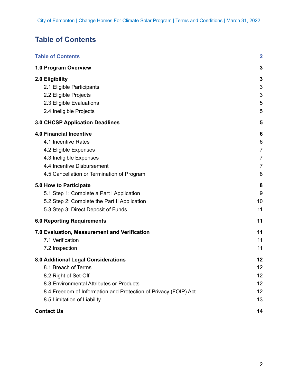# <span id="page-1-0"></span>**Table of Contents**

| <b>Table of Contents</b>                                        | $\overline{2}$ |
|-----------------------------------------------------------------|----------------|
| 1.0 Program Overview                                            | 3              |
| 2.0 Eligibility                                                 | 3              |
| 2.1 Eligible Participants                                       | 3              |
| 2.2 Eligible Projects                                           | 3              |
| 2.3 Eligible Evaluations                                        | 5              |
| 2.4 Ineligible Projects                                         | 5              |
| <b>3.0 CHCSP Application Deadlines</b>                          | 5              |
| <b>4.0 Financial Incentive</b>                                  | 6              |
| 4.1 Incentive Rates                                             | 6              |
| 4.2 Eligible Expenses                                           | $\overline{7}$ |
| 4.3 Ineligible Expenses                                         | $\overline{7}$ |
| 4.4 Incentive Disbursement                                      | $\overline{7}$ |
| 4.5 Cancellation or Termination of Program                      | 8              |
| 5.0 How to Participate                                          | 8              |
| 5.1 Step 1: Complete a Part I Application                       | 9              |
| 5.2 Step 2: Complete the Part II Application                    | 10             |
| 5.3 Step 3: Direct Deposit of Funds                             | 11             |
| <b>6.0 Reporting Requirements</b>                               | 11             |
| 7.0 Evaluation, Measurement and Verification                    | 11             |
| 7.1 Verification                                                | 11             |
| 7.2 Inspection                                                  | 11             |
| 8.0 Additional Legal Considerations                             | 12             |
| 8.1 Breach of Terms                                             | 12             |
| 8.2 Right of Set-Off                                            | 12             |
| 8.3 Environmental Attributes or Products                        | 12             |
| 8.4 Freedom of Information and Protection of Privacy (FOIP) Act | 12             |
| 8.5 Limitation of Liability                                     | 13             |
| <b>Contact Us</b>                                               | 14             |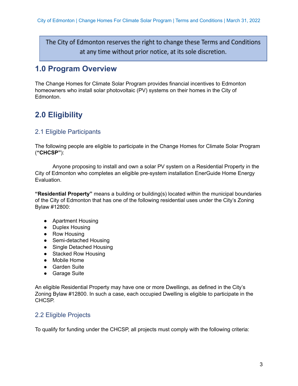The City of Edmonton reserves the right to change these Terms and Conditions at any time without prior notice, at its sole discretion.

# <span id="page-2-0"></span>**1.0 Program Overview**

The Change Homes for Climate Solar Program provides financial incentives to Edmonton homeowners who install solar photovoltaic (PV) systems on their homes in the City of Edmonton.

# **2.0 Eligibility**

# 2.1 Eligible Participants

The following people are eligible to participate in the Change Homes for Climate Solar Program (**"CHCSP"**):

Anyone proposing to install and own a solar PV system on a Residential Property in the City of Edmonton who completes an eligible pre-system installation EnerGuide Home Energy Evaluation.

**"Residential Property"** means a building or building(s) located within the municipal boundaries of the City of Edmonton that has one of the following residential uses under the City's Zoning Bylaw #12800:

- Apartment Housing
- Duplex Housing
- Row Housing
- Semi-detached Housing
- Single Detached Housing
- Stacked Row Housing
- Mobile Home
- Garden Suite
- Garage Suite

An eligible Residential Property may have one or more Dwellings, as defined in the City's Zoning Bylaw #12800. In such a case, each occupied Dwelling is eligible to participate in the CHCSP.

# 2.2 Eligible Projects

To qualify for funding under the CHCSP, all projects must comply with the following criteria: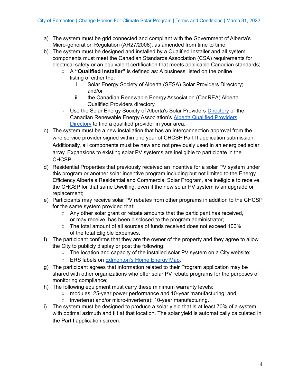- a) The system must be grid connected and compliant with the Government of Alberta's Micro-generation Regulation (AR27/2008), as amended from time to time;
- b) The system must be designed and installed by a Qualified Installer and all system components must meet the Canadian Standards Association (CSA) requirements for electrical safety or an equivalent certification that meets applicable Canadian standards;
	- A **"Qualified Installer"** is defined as: A business listed on the online listing of either the:
		- i. Solar Energy Society of Alberta (SESA) Solar Providers Directory; and/or
		- ii. the Canadian Renewable Energy Association (CanREA) Alberta Qualified Providers directory.
	- Use the Solar Energy Society of Alberta's Solar Providers [Directory](https://solaralberta.ca/go-solar/find-solar-services/) or the Canadian Renewable Energy Association's Alberta Qualified [Providers](https://membership.renewablesassociation.ca/Alberta-Qualified-Providers) [Directory](https://membership.renewablesassociation.ca/Alberta-Qualified-Providers) to find a qualified provider in your area.
- c) The system must be a new installation that has an interconnection approval from the wire service provider signed within one year of CHCSP Part II application submission. Additionally, all components must be new and not previously used in an energized solar array. Expansions to existing solar PV systems are ineligible to participate in the CHCSP;
- d) Residential Properties that previously received an incentive for a solar PV system under this program or another solar incentive program including but not limited to the Energy Efficiency Alberta's Residential and Commercial Solar Program, are ineligible to receive the CHCSP for that same Dwelling, even if the new solar PV system is an upgrade or replacement;
- e) Participants may receive solar PV rebates from other programs in addition to the CHCSP for the same system provided that:
	- Any other solar grant or rebate amounts that the participant has received, or may receive, has been disclosed to the program administrator;
	- The total amount of all sources of funds received does not exceed 100% of the total Eligible Expenses.
- f) The participant confirms that they are the owner of the property and they agree to allow the City to publicly display or post the following:
	- The location and capacity of the installed solar PV system on a City website;
	- ERS labels on [Edmonton's](https://homes.changeforclimate.ca/energy-mapping/) Home Energy Map.
- g) The participant agrees that information related to their Program application may be shared with other organizations who offer solar PV rebate programs for the purposes of monitoring compliance;
- h) The following equipment must carry these minimum warranty levels:
	- modules: 25-year power performance and 10-year manufacturing; and
	- inverter(s) and/or micro-inverter(s): 10-year manufacturing.
- i) The system must be designed to produce a solar yield that is at least 70% of a system with optimal azimuth and tilt at that location. The solar yield is automatically calculated in the Part I application screen.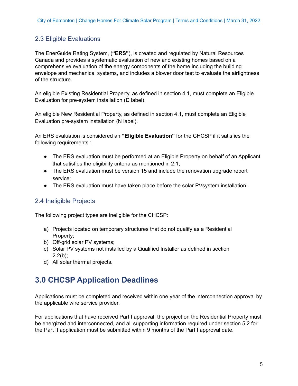# <span id="page-4-0"></span>2.3 Eligible Evaluations

The EnerGuide Rating System, (**"ERS"**), is created and regulated by Natural Resources Canada and provides a systematic evaluation of new and existing homes based on a comprehensive evaluation of the energy components of the home including the building envelope and mechanical systems, and includes a blower door test to evaluate the airtightness of the structure.

An eligible Existing Residential Property, as defined in section 4.1, must complete an Eligible Evaluation for pre-system installation (D label).

An eligible New Residential Property, as defined in section 4.1, must complete an Eligible Evaluation pre-system installation (N label).

An ERS evaluation is considered an **"Eligible Evaluation"** for the CHCSP if it satisfies the following requirements :

- The ERS evaluation must be performed at an Eligible Property on behalf of an Applicant that satisfies the eligibility criteria as mentioned in 2.1;
- The ERS evaluation must be version 15 and include the renovation upgrade report service;
- The ERS evaluation must have taken place before the solar PVsystem installation.

# 2.4 Ineligible Projects

The following project types are ineligible for the CHCSP:

- a) Projects located on temporary structures that do not qualify as a Residential Property;
- b) Off-grid solar PV systems;
- c) Solar PV systems not installed by a Qualified Installer as defined in section  $2.2(b)$ :
- d) All solar thermal projects.

# **3.0 CHCSP Application Deadlines**

Applications must be completed and received within one year of the interconnection approval by the applicable wire service provider.

For applications that have received Part I approval, the project on the Residential Property must be energized and interconnected, and all supporting information required under section 5.2 for the Part II application must be submitted within 9 months of the Part I approval date.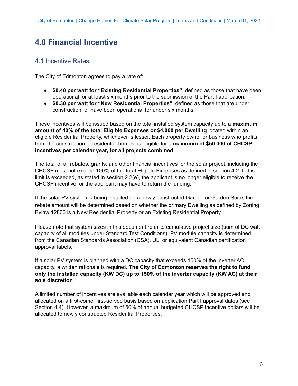# **4.0 Financial Incentive**

## 4.1 Incentive Rates

The City of Edmonton agrees to pay a rate of:

- **\$0.40 per watt for "Existing Residential Properties"**, defined as those that have been operational for at least six months prior to the submission of the Part I application.
- **\$0.30 per watt for "New Residential Properties"**, defined as those that are under construction, or have been operational for under six months.

These incentives will be issued based on the total installed system capacity up to a **maximum amount of 40% of the total Eligible Expenses or \$4,000 per Dwelling** located within an eligible Residential Property, whichever is lesser. Each property owner or business who profits from the construction of residential homes, is eligible for a **maximum of \$50,000 of CHCSP incentives per calendar year, for all projects combined**.

The total of all rebates, grants, and other financial incentives for the solar project, including the CHCSP must not exceed 100% of the total Eligible Expenses as defined in section 4.2. If this limit is exceeded, as stated in section 2.2(e), the applicant is no longer eligible to receive the CHCSP incentive, or the applicant may have to return the funding.

If the solar PV system is being installed on a newly constructed Garage or Garden Suite, the rebate amount will be determined based on whether the primary Dwelling as defined by Zoning Bylaw 12800 is a New Residential Property or an Existing Residential Property.

Please note that system sizes in this document refer to cumulative project size (sum of DC watt capacity of all modules under Standard Test Conditions). PV module capacity is determined from the Canadian Standards Association (CSA), UL, or equivalent Canadian certification approval labels.

If a solar PV system is planned with a DC capacity that exceeds 150% of the inverter AC capacity, a written rationale is required. **The City of Edmonton reserves the right to fund only the installed capacity (KW DC) up to 150% of the inverter capacity (KW AC) at their sole discretion**.

A limited number of incentives are available each calendar year which will be approved and allocated on a first-come, first-served basis based on application Part I approval dates (see Section 4.4). However, a maximum of 50% of annual budgeted CHCSP incentive dollars will be allocated to newly constructed Residential Properties.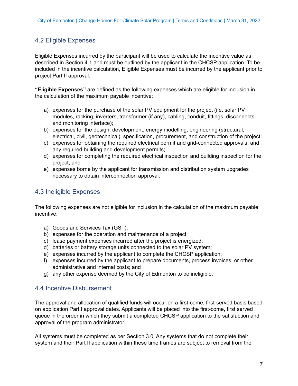# 4.2 Eligible Expenses

Eligible Expenses incurred by the participant will be used to calculate the incentive value as described in Section 4.1 and must be outlined by the applicant in the CHCSP application. To be included in the incentive calculation, Eligible Expenses must be incurred by the applicant prior to project Part II approval.

**"Eligible Expenses"** are defined as the following expenses which are eligible for inclusion in the calculation of the maximum payable incentive:

- a) expenses for the purchase of the solar PV equipment for the project (i.e. solar PV modules, racking, inverters, transformer (if any), cabling, conduit, fittings, disconnects, and monitoring interface);
- b) expenses for the design, development, energy modelling, engineering (structural, electrical, civil, geotechnical), specification, procurement, and construction of the project;
- c) expenses for obtaining the required electrical permit and grid-connected approvals, and any required building and development permits;
- d) expenses for completing the required electrical inspection and building inspection for the project; and
- e) expenses borne by the applicant for transmission and distribution system upgrades necessary to obtain interconnection approval.

## 4.3 Ineligible Expenses

The following expenses are not eligible for inclusion in the calculation of the maximum payable incentive:

- a) Goods and Services Tax (GST);
- b) expenses for the operation and maintenance of a project;
- c) lease payment expenses incurred after the project is energized;
- d) batteries or battery storage units connected to the solar PV system;
- e) expenses incurred by the applicant to complete the CHCSP application;
- f) expenses incurred by the applicant to prepare documents, process invoices, or other administrative and internal costs; and
- g) any other expense deemed by the City of Edmonton to be ineligible.

### 4.4 Incentive Disbursement

The approval and allocation of qualified funds will occur on a first-come, first-served basis based on application Part I approval dates. Applicants will be placed into the first-come, first served queue in the order in which they submit a completed CHCSP application to the satisfaction and approval of the program administrator.

All systems must be completed as per Section 3.0. Any systems that do not complete their system and their Part II application within these time frames are subject to removal from the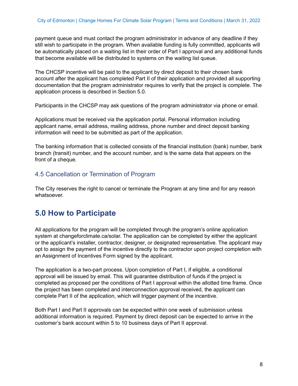payment queue and must contact the program administrator in advance of any deadline if they still wish to participate in the program. When available funding is fully committed, applicants will be automatically placed on a waiting list in their order of Part I approval and any additional funds that become available will be distributed to systems on the waiting list queue.

The CHCSP incentive will be paid to the applicant by direct deposit to their chosen bank account after the applicant has completed Part II of their application and provided all supporting documentation that the program administrator requires to verify that the project is complete. The application process is described in Section 5.0.

Participants in the CHCSP may ask questions of the program administrator via phone or email.

Applications must be received via the application portal. Personal information including applicant name, email address, mailing address, phone number and direct deposit banking information will need to be submitted as part of the application.

The banking information that is collected consists of the financial institution (bank) number, bank branch (transit) number, and the account number, and is the same data that appears on the front of a cheque.

## 4.5 Cancellation or Termination of Program

The City reserves the right to cancel or terminate the Program at any time and for any reason whatsoever.

# **5.0 How to Participate**

All applications for the program will be completed through the program's online application system at changeforclimate.ca/solar. The application can be completed by either the applicant or the applicant's installer, contractor, designer, or designated representative. The applicant may opt to assign the payment of the incentive directly to the contractor upon project completion with an Assignment of Incentives Form signed by the applicant.

The application is a two-part process. Upon completion of Part I, if eligible, a conditional approval will be issued by email. This will guarantee distribution of funds if the project is completed as proposed per the conditions of Part I approval within the allotted time frame. Once the project has been completed and interconnection approval received, the applicant can complete Part II of the application, which will trigger payment of the incentive.

Both Part I and Part II approvals can be expected within one week of submission unless additional information is required. Payment by direct deposit can be expected to arrive in the customer's bank account within 5 to 10 business days of Part II approval.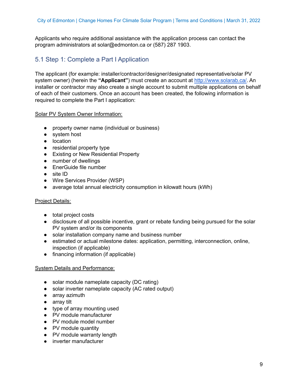Applicants who require additional assistance with the application process can contact the program administrators at solar@edmonton.ca or (587) 287 1903.

# 5.1 Step 1: Complete a Part I Application

The applicant (for example: installer/contractor/designer/designated representative/solar PV system owner) (herein the **"Applicant"**) must create an account at [http://www.solarab.ca/.](http://www.solarab.ca/) An installer or contractor may also create a single account to submit multiple applications on behalf of each of their customers. Once an account has been created, the following information is required to complete the Part I application:

#### Solar PV System Owner Information:

- property owner name (individual or business)
- system host
- location
- residential property type
- Existing or New Residential Property
- number of dwellings
- EnerGuide file number
- site ID
- Wire Services Provider (WSP)
- average total annual electricity consumption in kilowatt hours (kWh)

#### **Project Details:**

- total project costs
- disclosure of all possible incentive, grant or rebate funding being pursued for the solar PV system and/or its components
- solar installation company name and business number
- estimated or actual milestone dates: application, permitting, interconnection, online, inspection (if applicable)
- financing information (if applicable)

#### System Details and Performance:

- solar module nameplate capacity (DC rating)
- solar inverter nameplate capacity (AC rated output)
- array azimuth
- array tilt
- type of array mounting used
- PV module manufacturer
- PV module model number
- PV module quantity
- PV module warranty length
- inverter manufacturer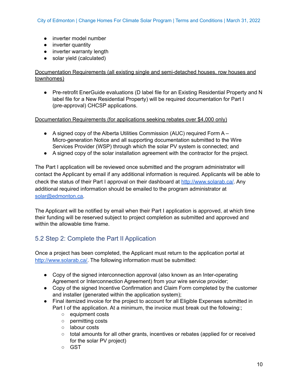- inverter model number
- inverter quantity
- inverter warranty length
- solar yield (calculated)

#### Documentation Requirements (all existing single and semi-detached houses, row houses and townhomes)

● Pre-retrofit EnerGuide evaluations (D label file for an Existing Residential Property and N label file for a New Residential Property) will be required documentation for Part I (pre-approval) CHCSP applications.

#### Documentation Requirements (for applications seeking rebates over \$4,000 only)

- A signed copy of the Alberta Utilities Commission (AUC) required Form A Micro-generation Notice and all supporting documentation submitted to the Wire Services Provider (WSP) through which the solar PV system is connected; and
- A signed copy of the solar installation agreement with the contractor for the project.

The Part I application will be reviewed once submitted and the program administrator will contact the Applicant by email if any additional information is required. Applicants will be able to check the status of their Part I approval on their dashboard at <http://www.solarab.ca/>. Any additional required information should be emailed to the program administrator at [solar@edmonton.ca.](mailto:solar@edmonton.ca)

The Applicant will be notified by email when their Part I application is approved, at which time their funding will be reserved subject to project completion as submitted and approved and within the allowable time frame.

# 5.2 Step 2: Complete the Part II Application

Once a project has been completed, the Applicant must return to the application portal at [http://www.solarab.ca/.](http://www.solarab.ca/) The following information must be submitted:

- Copy of the signed interconnection approval (also known as an Inter-operating Agreement or Interconnection Agreement) from your wire service provider;
- Copy of the signed Incentive Confirmation and Claim Form completed by the customer and installer (generated within the application system);
- Final itemized invoice for the project to account for all Eligible Expenses submitted in Part I of the application. At a minimum, the invoice must break out the following:;
	- equipment costs
	- permitting costs
	- labour costs
	- total amounts for all other grants, incentives or rebates (applied for or received for the solar PV project)
	- GST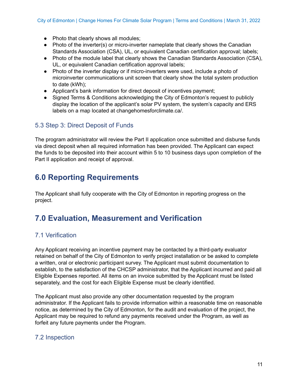- Photo that clearly shows all modules:
- Photo of the inverter(s) or micro-inverter nameplate that clearly shows the Canadian Standards Association (CSA), UL, or equivalent Canadian certification approval; labels;
- Photo of the module label that clearly shows the Canadian Standards Association (CSA), UL, or equivalent Canadian certification approval labels;
- Photo of the inverter display or if micro-inverters were used, include a photo of microinverter communications unit screen that clearly show the total system production to date (kWh);
- Applicant's bank information for direct deposit of incentives payment;
- Signed Terms & Conditions acknowledging the City of Edmonton's request to publicly display the location of the applicant's solar PV system, the system's capacity and ERS labels on a map located at changehomesforclimate.ca/.

# 5.3 Step 3: Direct Deposit of Funds

The program administrator will review the Part II application once submitted and disburse funds via direct deposit when all required information has been provided. The Applicant can expect the funds to be deposited into their account within 5 to 10 business days upon completion of the Part II application and receipt of approval.

# **6.0 Reporting Requirements**

The Applicant shall fully cooperate with the City of Edmonton in reporting progress on the project.

# **7.0 Evaluation, Measurement and Verification**

# 7.1 Verification

Any Applicant receiving an incentive payment may be contacted by a third-party evaluator retained on behalf of the City of Edmonton to verify project installation or be asked to complete a written, oral or electronic participant survey. The Applicant must submit documentation to establish, to the satisfaction of the CHCSP administrator, that the Applicant incurred and paid all Eligible Expenses reported. All items on an invoice submitted by the Applicant must be listed separately, and the cost for each Eligible Expense must be clearly identified.

The Applicant must also provide any other documentation requested by the program administrator. If the Applicant fails to provide information within a reasonable time on reasonable notice, as determined by the City of Edmonton, for the audit and evaluation of the project, the Applicant may be required to refund any payments received under the Program, as well as forfeit any future payments under the Program.

# 7.2 Inspection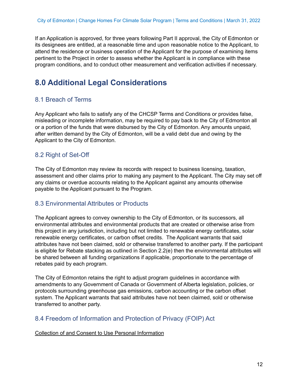If an Application is approved, for three years following Part II approval, the City of Edmonton or its designees are entitled, at a reasonable time and upon reasonable notice to the Applicant, to attend the residence or business operation of the Applicant for the purpose of examining items pertinent to the Project in order to assess whether the Applicant is in compliance with these program conditions, and to conduct other measurement and verification activities if necessary.

# **8.0 Additional Legal Considerations**

# 8.1 Breach of Terms

Any Applicant who fails to satisfy any of the CHCSP Terms and Conditions or provides false, misleading or incomplete information, may be required to pay back to the City of Edmonton all or a portion of the funds that were disbursed by the City of Edmonton. Any amounts unpaid, after written demand by the City of Edmonton, will be a valid debt due and owing by the Applicant to the City of Edmonton.

# 8.2 Right of Set-Off

The City of Edmonton may review its records with respect to business licensing, taxation, assessment and other claims prior to making any payment to the Applicant. The City may set off any claims or overdue accounts relating to the Applicant against any amounts otherwise payable to the Applicant pursuant to the Program.

### 8.3 Environmental Attributes or Products

The Applicant agrees to convey ownership to the City of Edmonton, or its successors, all environmental attributes and environmental products that are created or otherwise arise from this project in any jurisdiction, including but not limited to renewable energy certificates, solar renewable energy certificates, or carbon offset credits. The Applicant warrants that said attributes have not been claimed, sold or otherwise transferred to another party. If the participant is eligible for Rebate stacking as outlined in Section 2.2(e) then the environmental attributes will be shared between all funding organizations if applicable, proportionate to the percentage of rebates paid by each program.

The City of Edmonton retains the right to adjust program guidelines in accordance with amendments to any Government of Canada or Government of Alberta legislation, policies, or protocols surrounding greenhouse gas emissions, carbon accounting or the carbon offset system. The Applicant warrants that said attributes have not been claimed, sold or otherwise transferred to another party.

# 8.4 Freedom of Information and Protection of Privacy (FOIP) Act

#### Collection of and Consent to Use Personal Information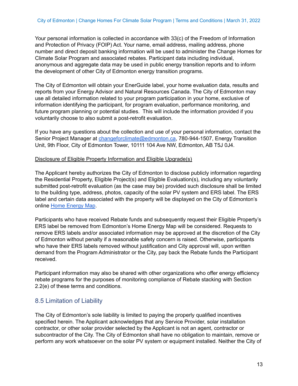Your personal information is collected in accordance with 33(c) of the Freedom of Information and Protection of Privacy (FOIP) Act. Your name, email address, mailing address, phone number and direct deposit banking information will be used to administer the Change Homes for Climate Solar Program and associated rebates. Participant data including individual, anonymous and aggregate data may be used in public energy transition reports and to inform the development of other City of Edmonton energy transition programs.

The City of Edmonton will obtain your EnerGuide label, your home evaluation data, results and reports from your Energy Advisor and Natural Resources Canada. The City of Edmonton may use all detailed information related to your program participation in your home, exclusive of information identifying the participant, for program evaluation, performance monitoring, and future program planning or potential studies. This will include the information provided if you voluntarily choose to also submit a post-retrofit evaluation.

If you have any questions about the collection and use of your personal information, contact the Senior Project Manager at [changeforclimate@edmonton.ca](mailto:changeforclimate@edmonton.ca), 780-944-1507, Energy Transition Unit, 9th Floor, City of Edmonton Tower, 10111 104 Ave NW, Edmonton, AB T5J 0J4.

#### Disclosure of Eligible Property Information and Eligible Upgrade(s)

The Applicant hereby authorizes the City of Edmonton to disclose publicly information regarding the Residential Property, Eligible Project(s) and Eligible Evaluation(s), including any voluntarily submitted post-retrofit evaluation (as the case may be) provided such disclosure shall be limited to the building type, address, photos, capacity of the solar PV system and ERS label. The ERS label and certain data associated with the property will be displayed on the City of Edmonton's online Home [Energy](https://homes.changeforclimate.ca/energy-mapping/) Map.

Participants who have received Rebate funds and subsequently request their Eligible Property's ERS label be removed from Edmonton's Home Energy Map will be considered. Requests to remove ERS labels and/or associated information may be approved at the discretion of the City of Edmonton without penalty if a reasonable safety concern is raised. Otherwise, participants who have their ERS labels removed without justification and City approval will, upon written demand from the Program Administrator or the City, pay back the Rebate funds the Participant received.

Participant information may also be shared with other organizations who offer energy efficiency rebate programs for the purposes of monitoring compliance of Rebate stacking with Section 2.2(e) of these terms and conditions.

# 8.5 Limitation of Liability

The City of Edmonton's sole liability is limited to paying the properly qualified incentives specified herein. The Applicant acknowledges that any Service Provider, solar installation contractor, or other solar provider selected by the Applicant is not an agent, contractor or subcontractor of the City. The City of Edmonton shall have no obligation to maintain, remove or perform any work whatsoever on the solar PV system or equipment installed. Neither the City of